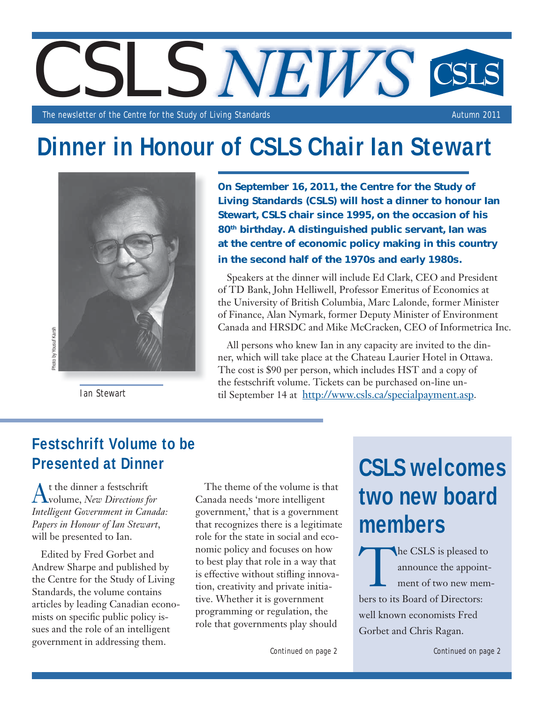

The newsletter of the Centre for the Study of Living Standards Autumn 2011 and Autumn 2011

# **Dinner in Honour of CSLS Chair Ian Stewart**



Ian Stewart

On September 16, 2011, the Centre for the Study of Living Standards (CSLS) will host a dinner to honour Ian Stewart, CSLS chair since 1995, on the occasion of his 80<sup>th</sup> birthday. A distinguished public servant, Ian was at the centre of economic policy making in this country in the second half of the 1970s and early 1980s.

Speakers at the dinner will include Ed Clark, CEO and President of TD Bank, John Helliwell, Professor Emeritus of Economics at the University of British Columbia, Marc Lalonde, former Minister of Finance, Alan Nymark, former Deputy Minister of Environment Canada and HRSDC and Mike McCracken, CEO of Informetrica Inc.

All persons who knew Ian in any capacity are invited to the dinner, which will take place at the Chateau Laurier Hotel in Ottawa. The cost is \$90 per person, which includes HST and a copy of the festschrift volume. Tickets can be purchased on-line until September 14 at http://www.csls.ca/specialpayment.asp.

# **Festschrift Volume to be Presented at Dinner**

At the dinner a festschrift volume, *New Directions for Intelligent Government in Canada: Papers in Honour of Ian Stewart*, will be presented to Ian.

Edited by Fred Gorbet and Andrew Sharpe and published by the Centre for the Study of Living Standards, the volume contains articles by leading Canadian economists on specific public policy issues and the role of an intelligent government in addressing them.

The theme of the volume is that Canada needs 'more intelligent government,' that is a government that recognizes there is a legitimate role for the state in social and economic policy and focuses on how to best play that role in a way that is effective without stifling innovation, creativity and private initiative. Whether it is government programming or regulation, the role that governments play should

Continued on page 2

# **CSLS welcomes two new board members**

The CSLS is pleased to<br>announce the appoint-<br>ment of two new mem announce the appointment of two new members to its Board of Directors: well known economists Fred Gorbet and Chris Ragan.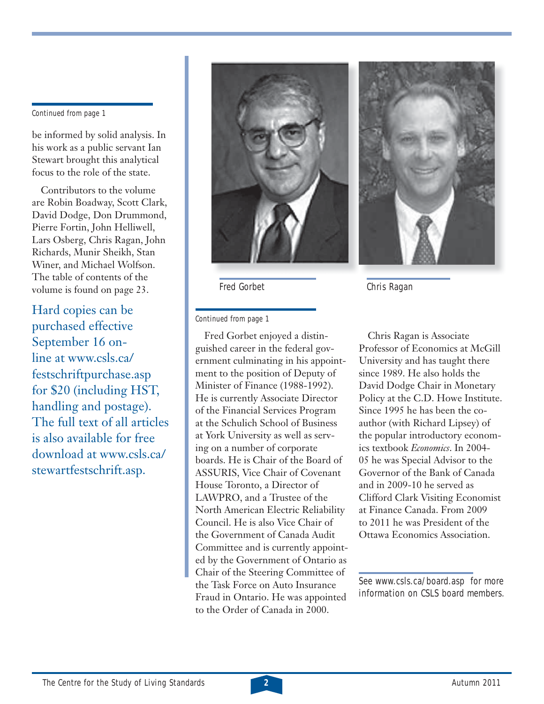Continued from page 1

be informed by solid analysis. In his work as a public servant Ian Stewart brought this analytical focus to the role of the state.

Contributors to the volume are Robin Boadway, Scott Clark, David Dodge, Don Drummond, Pierre Fortin, John Helliwell, Lars Osberg, Chris Ragan, John Richards, Munir Sheikh, Stan Winer, and Michael Wolfson. The table of contents of the volume is found on page 23.

Hard copies can be purchased effective September 16 online at www.csls.ca/ festschriftpurchase.asp for \$20 (including HST, handling and postage). The full text of all articles is also available for free download at www.csls.ca/ stewartfestschrift.asp.



Fred Gorbet

Continued from page 1

Fred Gorbet enjoyed a distinguished career in the federal government culminating in his appointment to the position of Deputy of Minister of Finance (1988-1992). He is currently Associate Director of the Financial Services Program at the Schulich School of Business at York University as well as serving on a number of corporate boards. He is Chair of the Board of ASSURIS, Vice Chair of Covenant House Toronto, a Director of LAWPRO, and a Trustee of the North American Electric Reliability Council. He is also Vice Chair of the Government of Canada Audit Committee and is currently appointed by the Government of Ontario as Chair of the Steering Committee of the Task Force on Auto Insurance Fraud in Ontario. He was appointed to the Order of Canada in 2000.



Chris Ragan

Chris Ragan is Associate Professor of Economics at McGill University and has taught there since 1989. He also holds the David Dodge Chair in Monetary Policy at the C.D. Howe Institute. Since 1995 he has been the coauthor (with Richard Lipsey) of the popular introductory economics textbook *Economics*. In 2004- 05 he was Special Advisor to the Governor of the Bank of Canada and in 2009-10 he served as Clifford Clark Visiting Economist at Finance Canada. From 2009 to 2011 he was President of the Ottawa Economics Association.

See www.csls.ca/board.asp for more information on CSLS board members.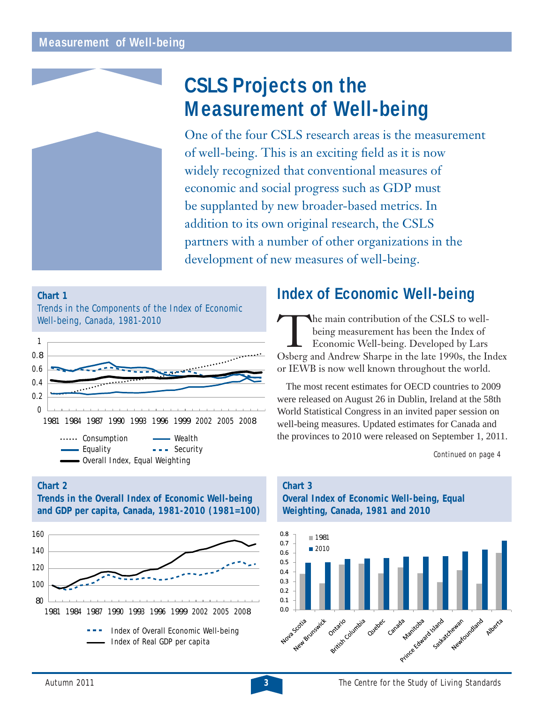

# **CSLS Projects on the Measurement of Well-being**

One of the four CSLS research areas is the measurement of well-being. This is an exciting field as it is now widely recognized that conventional measures of economic and social progress such as GDP must be supplanted by new broader-based metrics. In addition to its own original research, the CSLS partners with a number of other organizations in the development of new measures of well-being.

#### **Chart 1** Trends in the Components of the Index of Economic Well-being, Canada, 1981-2010  $\Omega$ 0.2 0.4 0.6 0.8 1

1981 1984 1987 1990 1993 1996 1999 2002 2005 2008 ...... Consumption - Wealth - Equality --- Security Overall Index, Equal Weighting

**Chart 2**

**Trends in the Overall Index of Economic Well-being and GDP per capita, Canada, 1981-2010 (1981=100)**



# **Index of Economic Well-being**

The main contribution of the CSLS to wellbeing measurement has been the Index of Economic Well-being. Developed by Lars Osberg and Andrew Sharpe in the late 1990s, the Index or IEWB is now well known throughout the world.

The most recent estimates for OECD countries to 2009 were released on August 26 in Dublin, Ireland at the 58th World Statistical Congress in an invited paper session on well-being measures. Updated estimates for Canada and the provinces to 2010 were released on September 1, 2011.

Continued on page 4

#### **Chart 3 Overal Index of Economic Well-being, Equal Weighting, Canada, 1981 and 2010**

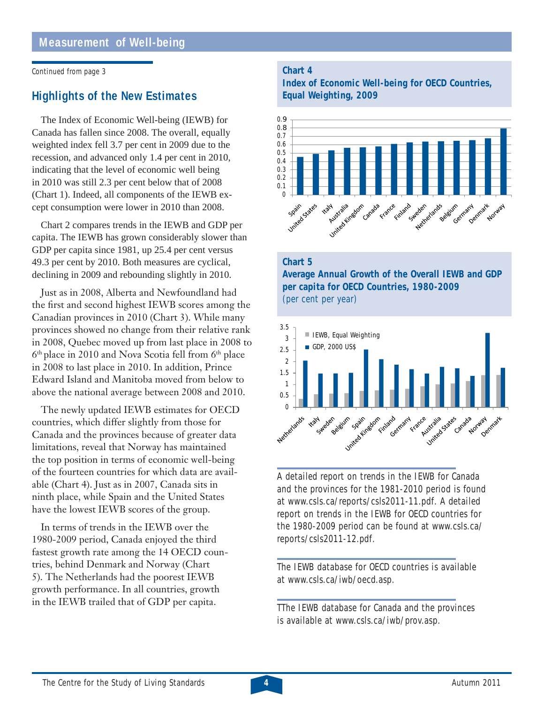Continued from page 3

# **Highlights of the New Estimates**

The Index of Economic Well-being (IEWB) for Canada has fallen since 2008. The overall, equally weighted index fell 3.7 per cent in 2009 due to the recession, and advanced only 1.4 per cent in 2010, indicating that the level of economic well being in 2010 was still 2.3 per cent below that of 2008 (Chart 1). Indeed, all components of the IEWB except consumption were lower in 2010 than 2008.

Chart 2 compares trends in the IEWB and GDP per capita. The IEWB has grown considerably slower than GDP per capita since 1981, up 25.4 per cent versus 49.3 per cent by 2010. Both measures are cyclical, declining in 2009 and rebounding slightly in 2010.

Just as in 2008, Alberta and Newfoundland had the first and second highest IEWB scores among the Canadian provinces in 2010 (Chart 3). While many provinces showed no change from their relative rank in 2008, Quebec moved up from last place in 2008 to 6<sup>th</sup> place in 2010 and Nova Scotia fell from 6<sup>th</sup> place in 2008 to last place in 2010. In addition, Prince Edward Island and Manitoba moved from below to above the national average between 2008 and 2010.

The newly updated IEWB estimates for OECD countries, which differ slightly from those for Canada and the provinces because of greater data limitations, reveal that Norway has maintained the top position in terms of economic well-being of the fourteen countries for which data are available (Chart 4). Just as in 2007, Canada sits in ninth place, while Spain and the United States have the lowest IEWB scores of the group.

In terms of trends in the IEWB over the 1980-2009 period, Canada enjoyed the third fastest growth rate among the 14 OECD countries, behind Denmark and Norway (Chart 5). The Netherlands had the poorest IEWB growth performance. In all countries, growth in the IEWB trailed that of GDP per capita.

#### **Chart 4**

**Index of Economic Well-being for OECD Countries, Equal Weighting, 2009**



#### **Chart 5**

**Average Annual Growth of the Overall IEWB and GDP per capita for OECD Countries, 1980-2009**  (per cent per year)



A detailed report on trends in the IEWB for Canada and the provinces for the 1981-2010 period is found at www.csls.ca/reports/csls2011-11.pdf. A detailed report on trends in the IEWB for OECD countries for the 1980-2009 period can be found at www.csls.ca/ reports/csls2011-12.pdf.

The IEWB database for OECD countries is available at www.csls.ca/iwb/oecd.asp.

TThe IEWB database for Canada and the provinces is available at www.csls.ca/iwb/prov.asp.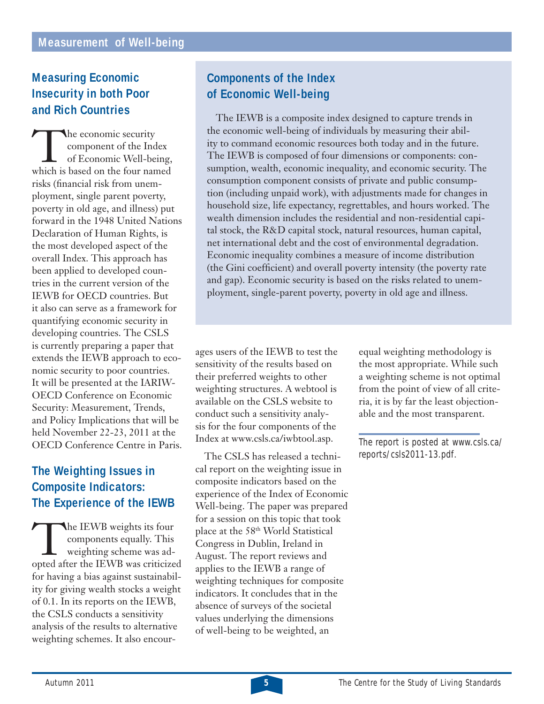# **Measuring Economic Insecurity in both Poor and Rich Countries**

The economic security<br>
component of the Index<br>
of Economic Well-being,<br>
which is based on the four named component of the Index of Economic Well-being, risks (financial risk from unemployment, single parent poverty, poverty in old age, and illness) put forward in the 1948 United Nations Declaration of Human Rights, is the most developed aspect of the overall Index. This approach has been applied to developed countries in the current version of the IEWB for OECD countries. But it also can serve as a framework for quantifying economic security in developing countries. The CSLS is currently preparing a paper that extends the IEWB approach to economic security to poor countries. It will be presented at the IARIW-OECD Conference on Economic Security: Measurement, Trends, and Policy Implications that will be held November 22-23, 2011 at the OECD Conference Centre in Paris.

# **The Weighting Issues in Composite Indicators: The Experience of the IEWB**

The IEWB weights its four<br>
components equally. This<br>
weighting scheme was ad-<br>
opted after the IEWB was criticized components equally. This weighting scheme was adfor having a bias against sustainability for giving wealth stocks a weight of 0.1. In its reports on the IEWB, the CSLS conducts a sensitivity analysis of the results to alternative weighting schemes. It also encour-

# **Components of the Index of Economic Well-being**

The IEWB is a composite index designed to capture trends in the economic well-being of individuals by measuring their ability to command economic resources both today and in the future. The IEWB is composed of four dimensions or components: consumption, wealth, economic inequality, and economic security. The consumption component consists of private and public consumption (including unpaid work), with adjustments made for changes in household size, life expectancy, regrettables, and hours worked. The wealth dimension includes the residential and non-residential capital stock, the R&D capital stock, natural resources, human capital, net international debt and the cost of environmental degradation. Economic inequality combines a measure of income distribution (the Gini coefficient) and overall poverty intensity (the poverty rate and gap). Economic security is based on the risks related to unemployment, single-parent poverty, poverty in old age and illness.

ages users of the IEWB to test the sensitivity of the results based on their preferred weights to other weighting structures. A webtool is available on the CSLS website to conduct such a sensitivity analysis for the four components of the Index at www.csls.ca/iwbtool.asp.

The CSLS has released a technical report on the weighting issue in composite indicators based on the experience of the Index of Economic Well-being. The paper was prepared for a session on this topic that took place at the 58th World Statistical Congress in Dublin, Ireland in August. The report reviews and applies to the IEWB a range of weighting techniques for composite indicators. It concludes that in the absence of surveys of the societal values underlying the dimensions of well-being to be weighted, an

equal weighting methodology is the most appropriate. While such a weighting scheme is not optimal from the point of view of all criteria, it is by far the least objectionable and the most transparent.

The report is posted at www.csls.ca/ reports/csls2011-13.pdf.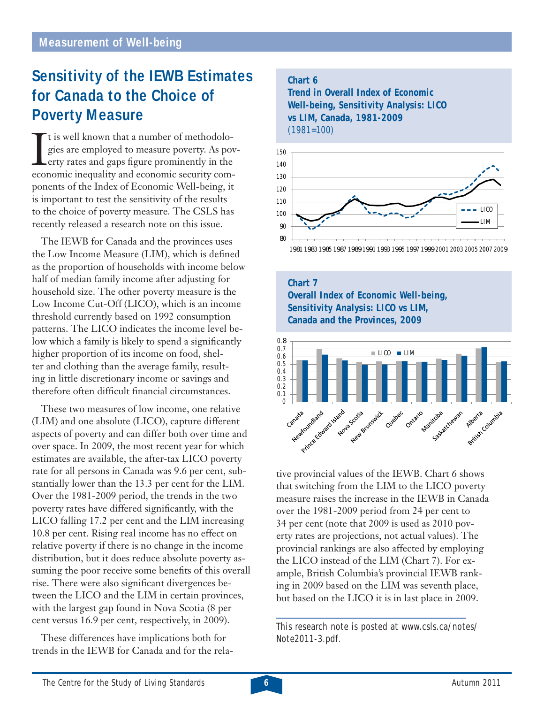# **Sensitivity of the IEWB Estimates for Canada to the Choice of Poverty Measure**

The is well known that a number of methodolo-<br>gies are employed to measure poverty. As pov-<br>erty rates and gaps figure prominently in the<br>economic inequality and economic security comt is well known that a number of methodologies are employed to measure poverty. As poverty rates and gaps figure prominently in the economic inequality and economic security components of the Index of Economic Well-being, it is important to test the sensitivity of the results to the choice of poverty measure. The CSLS has recently released a research note on this issue.

The IEWB for Canada and the provinces uses the Low Income Measure (LIM), which is defined as the proportion of households with income below half of median family income after adjusting for household size. The other poverty measure is the Low Income Cut-Off (LICO), which is an income threshold currently based on 1992 consumption patterns. The LICO indicates the income level below which a family is likely to spend a significantly higher proportion of its income on food, shelter and clothing than the average family, resulting in little discretionary income or savings and therefore often difficult financial circumstances.

These two measures of low income, one relative (LIM) and one absolute (LICO), capture different aspects of poverty and can differ both over time and over space. In 2009, the most recent year for which estimates are available, the after-tax LICO poverty rate for all persons in Canada was 9.6 per cent, substantially lower than the 13.3 per cent for the LIM. Over the 1981-2009 period, the trends in the two poverty rates have differed significantly, with the LICO falling 17.2 per cent and the LIM increasing 10.8 per cent. Rising real income has no effect on relative poverty if there is no change in the income distribution, but it does reduce absolute poverty assuming the poor receive some benefits of this overall rise. There were also significant divergences between the LICO and the LIM in certain provinces, with the largest gap found in Nova Scotia (8 per cent versus 16.9 per cent, respectively, in 2009).

These differences have implications both for trends in the IEWB for Canada and for the rela-

#### **Chart 6 Trend in Overall Index of Economic Well-being, Sensitivity Analysis: LICO**

**vs LIM, Canada, 1981-2009**



1981 1983 1985 1987 1989 1991 1993 1995 1997 1999 2001 2003 2005 2007 2009

**Chart 7 Overall Index of Economic Well-being, Sensitivity Analysis: LICO vs LIM, Canada and the Provinces, 2009**



tive provincial values of the IEWB. Chart 6 shows that switching from the LIM to the LICO poverty measure raises the increase in the IEWB in Canada over the 1981-2009 period from 24 per cent to 34 per cent (note that 2009 is used as 2010 poverty rates are projections, not actual values). The provincial rankings are also affected by employing the LICO instead of the LIM (Chart 7). For example, British Columbia's provincial IEWB ranking in 2009 based on the LIM was seventh place, but based on the LICO it is in last place in 2009.

This research note is posted at www.csls.ca/notes/ Note2011-3.pdf.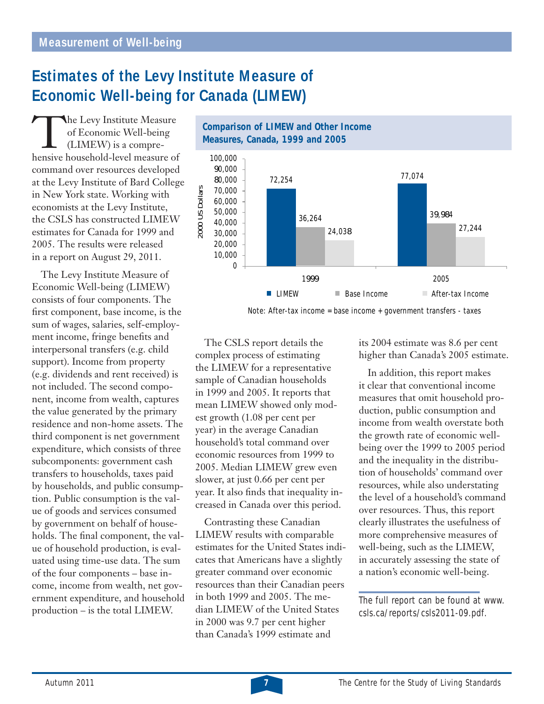# **Estimates of the Levy Institute Measure of Economic Well-being for Canada (LIMEW)**

The Levy Institute Measure<br>
of Economic Well-being<br>
(LIMEW) is a compre-<br>
hensive household-level measure of of Economic Well-being (LIMEW) is a comprecommand over resources developed at the Levy Institute of Bard College in New York state. Working with economists at the Levy Institute, the CSLS has constructed LIMEW estimates for Canada for 1999 and 2005. The results were released in a report on August 29, 2011.

The Levy Institute Measure of Economic Well-being (LIMEW) consists of four components. The first component, base income, is the sum of wages, salaries, self-employment income, fringe benefits and interpersonal transfers (e.g. child support). Income from property (e.g. dividends and rent received) is not included. The second component, income from wealth, captures the value generated by the primary residence and non-home assets. The third component is net government expenditure, which consists of three subcomponents: government cash transfers to households, taxes paid by households, and public consumption. Public consumption is the value of goods and services consumed by government on behalf of households. The final component, the value of household production, is evaluated using time-use data. The sum of the four components – base income, income from wealth, net government expenditure, and household production – is the total LIMEW.



Note: After-tax income = base income + government transfers - taxes

The CSLS report details the complex process of estimating the LIMEW for a representative sample of Canadian households in 1999 and 2005. It reports that mean LIMEW showed only modest growth (1.08 per cent per year) in the average Canadian household's total command over economic resources from 1999 to 2005. Median LIMEW grew even slower, at just 0.66 per cent per year. It also finds that inequality increased in Canada over this period.

Contrasting these Canadian LIMEW results with comparable estimates for the United States indicates that Americans have a slightly greater command over economic resources than their Canadian peers in both 1999 and 2005. The median LIMEW of the United States in 2000 was 9.7 per cent higher than Canada's 1999 estimate and

its 2004 estimate was 8.6 per cent higher than Canada's 2005 estimate.

In addition, this report makes it clear that conventional income measures that omit household production, public consumption and income from wealth overstate both the growth rate of economic wellbeing over the 1999 to 2005 period and the inequality in the distribution of households' command over resources, while also understating the level of a household's command over resources. Thus, this report clearly illustrates the usefulness of more comprehensive measures of well-being, such as the LIMEW, in accurately assessing the state of a nation's economic well-being.

The full report can be found at www. csls.ca/reports/csls2011-09.pdf.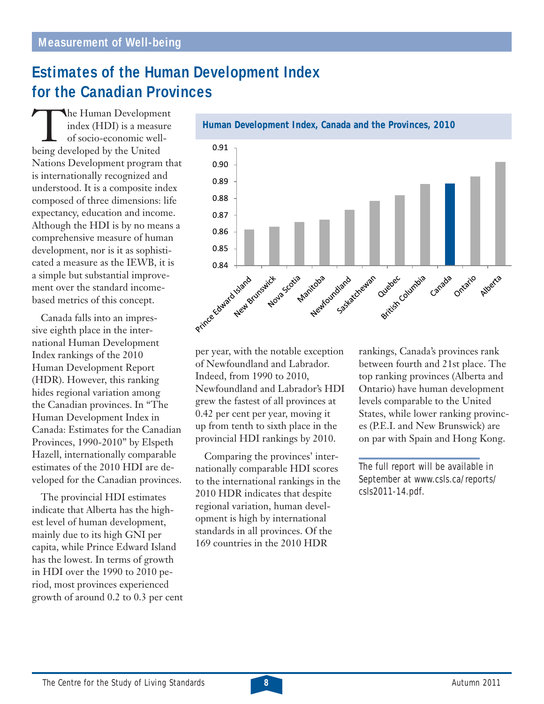# **Estimates of the Human Development Index for the Canadian Provinces**

**The Human Development** index (HDI) is a measure of socio-economic wellbeing developed by the United Nations Development program that is internationally recognized and understood. It is a composite index composed of three dimensions: life expectancy, education and income. Although the HDI is by no means a comprehensive measure of human development, nor is it as sophisticated a measure as the IEWB, it is a simple but substantial improvement over the standard incomebased metrics of this concept.

Canada falls into an impressive eighth place in the international Human Development Index rankings of the 2010 Human Development Report (HDR). However, this ranking hides regional variation among the Canadian provinces. In "The Human Development Index in Canada: Estimates for the Canadian Provinces, 1990-2010" by Elspeth Hazell, internationally comparable estimates of the 2010 HDI are developed for the Canadian provinces.

The provincial HDI estimates indicate that Alberta has the highest level of human development, mainly due to its high GNI per capita, while Prince Edward Island has the lowest. In terms of growth in HDI over the 1990 to 2010 period, most provinces experienced growth of around 0.2 to 0.3 per cent



per year, with the notable exception of Newfoundland and Labrador. Indeed, from 1990 to 2010, Newfoundland and Labrador's HDI grew the fastest of all provinces at 0.42 per cent per year, moving it up from tenth to sixth place in the provincial HDI rankings by 2010.

Comparing the provinces' internationally comparable HDI scores to the international rankings in the 2010 HDR indicates that despite regional variation, human development is high by international standards in all provinces. Of the 169 countries in the 2010 HDR

rankings, Canada's provinces rank between fourth and 21st place. The top ranking provinces (Alberta and Ontario) have human development levels comparable to the United States, while lower ranking provinces (P.E.I. and New Brunswick) are on par with Spain and Hong Kong.

The full report will be available in September at www.csls.ca/reports/ csls2011-14.pdf.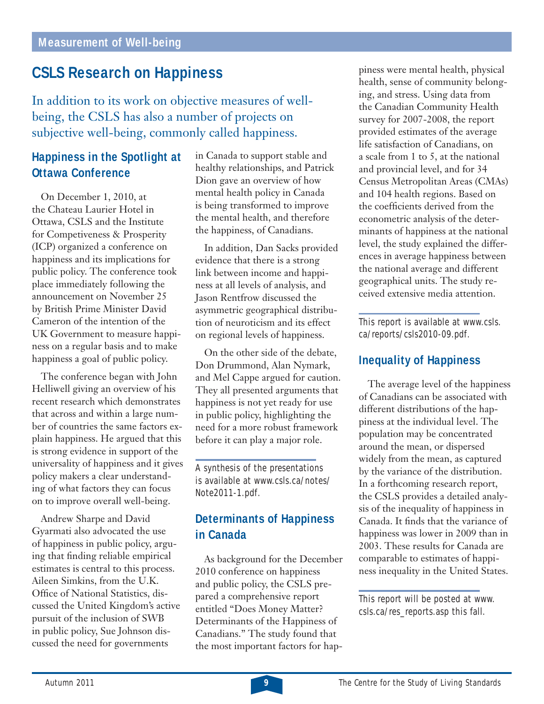# **CSLS Research on Happiness**

In addition to its work on objective measures of wellbeing, the CSLS has also a number of projects on subjective well-being, commonly called happiness.

# **Happiness in the Spotlight at Ottawa Conference**

On December 1, 2010, at the Chateau Laurier Hotel in Ottawa, CSLS and the Institute for Competiveness & Prosperity (ICP) organized a conference on happiness and its implications for public policy. The conference took place immediately following the announcement on November 25 by British Prime Minister David Cameron of the intention of the UK Government to measure happiness on a regular basis and to make happiness a goal of public policy.

The conference began with John Helliwell giving an overview of his recent research which demonstrates that across and within a large number of countries the same factors explain happiness. He argued that this is strong evidence in support of the universality of happiness and it gives policy makers a clear understanding of what factors they can focus on to improve overall well-being.

Andrew Sharpe and David Gyarmati also advocated the use of happiness in public policy, arguing that finding reliable empirical estimates is central to this process. Aileen Simkins, from the U.K. Office of National Statistics, discussed the United Kingdom's active pursuit of the inclusion of SWB in public policy, Sue Johnson discussed the need for governments

in Canada to support stable and healthy relationships, and Patrick Dion gave an overview of how mental health policy in Canada is being transformed to improve the mental health, and therefore the happiness, of Canadians.

In addition, Dan Sacks provided evidence that there is a strong link between income and happiness at all levels of analysis, and Jason Rentfrow discussed the asymmetric geographical distribution of neuroticism and its effect on regional levels of happiness.

On the other side of the debate, Don Drummond, Alan Nymark, and Mel Cappe argued for caution. They all presented arguments that happiness is not yet ready for use in public policy, highlighting the need for a more robust framework before it can play a major role.

A synthesis of the presentations is available at www.csls.ca/notes/ Note2011-1.pdf.

## **Determinants of Happiness in Canada**

As background for the December 2010 conference on happiness and public policy, the CSLS prepared a comprehensive report entitled "Does Money Matter? Determinants of the Happiness of Canadians." The study found that the most important factors for happiness were mental health, physical health, sense of community belonging, and stress. Using data from the Canadian Community Health survey for 2007-2008, the report provided estimates of the average life satisfaction of Canadians, on a scale from 1 to 5, at the national and provincial level, and for 34 Census Metropolitan Areas (CMAs) and 104 health regions. Based on the coefficients derived from the econometric analysis of the determinants of happiness at the national level, the study explained the differences in average happiness between the national average and different geographical units. The study received extensive media attention.

This report is available at www.csls. ca/reports/csls2010-09.pdf.

## **Inequality of Happiness**

The average level of the happiness of Canadians can be associated with different distributions of the happiness at the individual level. The population may be concentrated around the mean, or dispersed widely from the mean, as captured by the variance of the distribution. In a forthcoming research report, the CSLS provides a detailed analysis of the inequality of happiness in Canada. It finds that the variance of happiness was lower in 2009 than in 2003. These results for Canada are comparable to estimates of happiness inequality in the United States.

This report will be posted at www. csls.ca/res\_reports.asp this fall.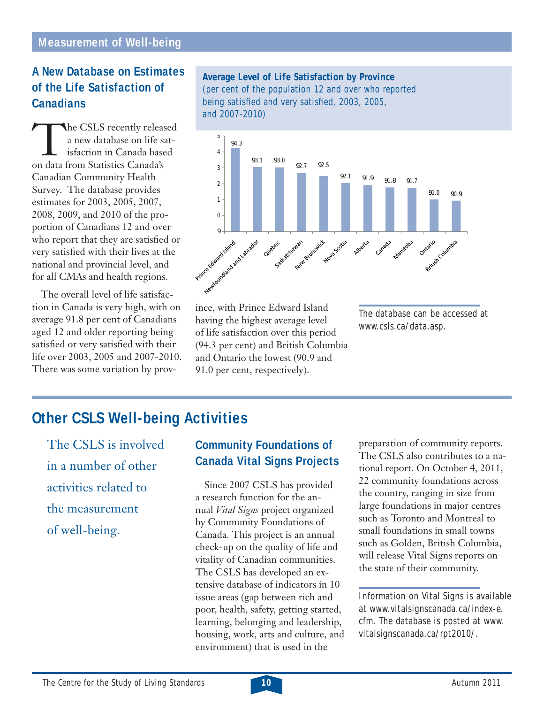## **A New Database on Estimates of the Life Satisfaction of Canadians**

**The CSLS recently released** a new database on life satisfaction in Canada based on data from Statistics Canada's Canadian Community Health Survey. The database provides estimates for 2003, 2005, 2007, 2008, 2009, and 2010 of the proportion of Canadians 12 and over who report that they are satisfied or very satisfied with their lives at the national and provincial level, and for all CMAs and health regions.

The overall level of life satisfaction in Canada is very high, with on average 91.8 per cent of Canadians aged 12 and older reporting being satisfied or very satisfied with their life over 2003, 2005 and 2007-2010. There was some variation by prov-

#### **Average Level of Life Satisfaction by Province**  (per cent of the population 12 and over who reported being satisfied and very satisfied, 2003, 2005, and 2007-2010)



ince, with Prince Edward Island having the highest average level of life satisfaction over this period (94.3 per cent) and British Columbia and Ontario the lowest (90.9 and 91.0 per cent, respectively).

The database can be accessed at www.csls.ca/data.asp.

# **Other CSLS Well-being Activities**

The CSLS is involved in a number of other activities related to the measurement of well-being.

## **Community Foundations of Canada Vital Signs Projects**

Since 2007 CSLS has provided a research function for the annual *Vital Signs* project organized by Community Foundations of Canada. This project is an annual check-up on the quality of life and vitality of Canadian communities. The CSLS has developed an extensive database of indicators in 10 issue areas (gap between rich and poor, health, safety, getting started, learning, belonging and leadership, housing, work, arts and culture, and environment) that is used in the

preparation of community reports. The CSLS also contributes to a national report. On October 4, 2011, 22 community foundations across the country, ranging in size from large foundations in major centres such as Toronto and Montreal to small foundations in small towns such as Golden, British Columbia, will release Vital Signs reports on the state of their community.

Information on Vital Signs is available at www.vitalsignscanada.ca/index-e. cfm. The database is posted at www. vitalsignscanada.ca/rpt2010/.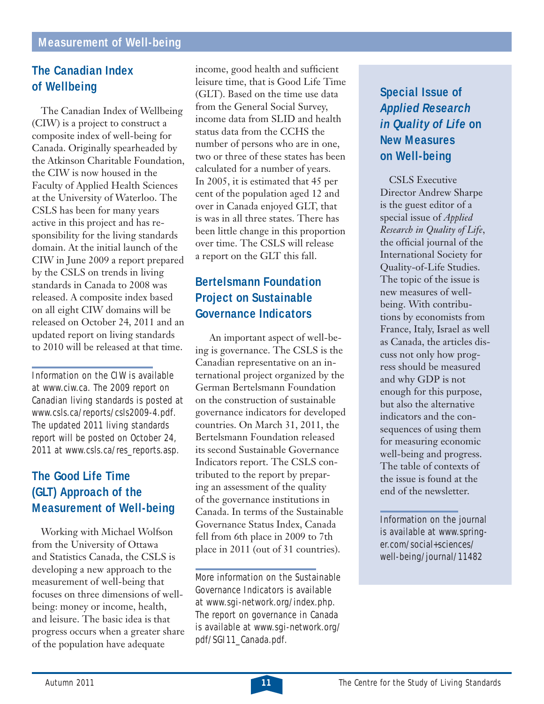# **The Canadian Index of Wellbeing**

The Canadian Index of Wellbeing (CIW) is a project to construct a composite index of well-being for Canada. Originally spearheaded by the Atkinson Charitable Foundation, the CIW is now housed in the Faculty of Applied Health Sciences at the University of Waterloo. The CSLS has been for many years active in this project and has responsibility for the living standards domain. At the initial launch of the CIW in June 2009 a report prepared by the CSLS on trends in living standards in Canada to 2008 was released. A composite index based on all eight CIW domains will be released on October 24, 2011 and an updated report on living standards to 2010 will be released at that time.

Information on the CIW is available at www.ciw.ca. The 2009 report on Canadian living standards is posted at www.csls.ca/reports/csls2009-4.pdf. The updated 2011 living standards report will be posted on October 24, 2011 at www.csls.ca/res\_reports.asp.

# **The Good Life Time (GLT) Approach of the Measurement of Well-being**

Working with Michael Wolfson from the University of Ottawa and Statistics Canada, the CSLS is developing a new approach to the measurement of well-being that focuses on three dimensions of wellbeing: money or income, health, and leisure. The basic idea is that progress occurs when a greater share of the population have adequate

income, good health and sufficient leisure time, that is Good Life Time (GLT). Based on the time use data from the General Social Survey, income data from SLID and health status data from the CCHS the number of persons who are in one, two or three of these states has been calculated for a number of years. In 2005, it is estimated that 45 per cent of the population aged 12 and over in Canada enjoyed GLT, that is was in all three states. There has been little change in this proportion over time. The CSLS will release a report on the GLT this fall.

# **Bertelsmann Foundation Project on Sustainable Governance Indicators**

 An important aspect of well-being is governance. The CSLS is the Canadian representative on an international project organized by the German Bertelsmann Foundation on the construction of sustainable governance indicators for developed countries. On March 31, 2011, the Bertelsmann Foundation released its second Sustainable Governance Indicators report. The CSLS contributed to the report by preparing an assessment of the quality of the governance institutions in Canada. In terms of the Sustainable Governance Status Index, Canada fell from 6th place in 2009 to 7th place in 2011 (out of 31 countries).

More information on the Sustainable Governance Indicators is available at www.sgi-network.org/index.php. The report on governance in Canada is available at www.sgi-network.org/ pdf/SGI11\_Canada.pdf.

# **Special Issue of**  *Applied Research in Quality of Life* **on New Measures on Well-being**

CSLS Executive Director Andrew Sharpe is the guest editor of a special issue of *Applied Research in Quality of Life*, the official journal of the International Society for Quality-of-Life Studies. The topic of the issue is new measures of wellbeing. With contributions by economists from France, Italy, Israel as well as Canada, the articles discuss not only how progress should be measured and why GDP is not enough for this purpose, but also the alternative indicators and the consequences of using them for measuring economic well-being and progress. The table of contexts of the issue is found at the end of the newsletter.

Information on the journal is available at www.springer.com/social+sciences/ well-being/journal/11482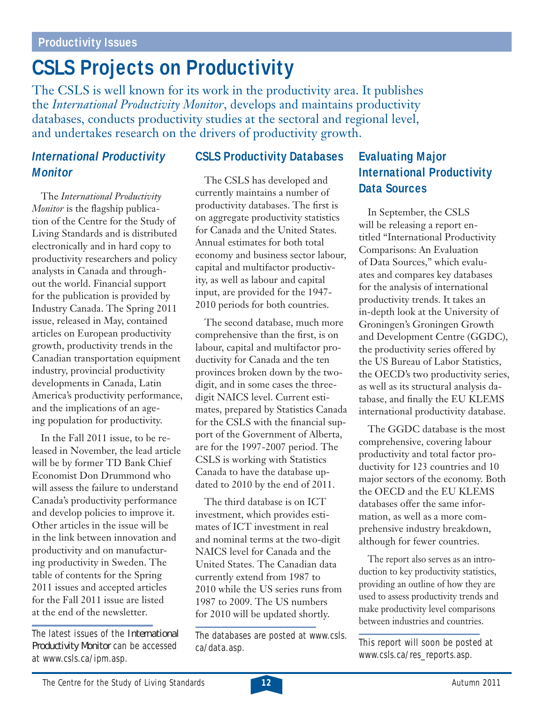# **CSLS Projects on Productivity**

The CSLS is well known for its work in the productivity area. It publishes the *International Productivity Monitor*, develops and maintains productivity databases, conducts productivity studies at the sectoral and regional level, and undertakes research on the drivers of productivity growth.

# *International Productivity Monitor*

The *International Productivity Monitor* is the flagship publication of the Centre for the Study of Living Standards and is distributed electronically and in hard copy to productivity researchers and policy analysts in Canada and throughout the world. Financial support for the publication is provided by Industry Canada. The Spring 2011 issue, released in May, contained articles on European productivity growth, productivity trends in the Canadian transportation equipment industry, provincial productivity developments in Canada, Latin America's productivity performance, and the implications of an ageing population for productivity.

In the Fall 2011 issue, to be released in November, the lead article will be by former TD Bank Chief Economist Don Drummond who will assess the failure to understand Canada's productivity performance and develop policies to improve it. Other articles in the issue will be in the link between innovation and productivity and on manufacturing productivity in Sweden. The table of contents for the Spring 2011 issues and accepted articles for the Fall 2011 issue are listed at the end of the newsletter.

The latest issues of the *International Productivity Monitor* can be accessed at www.csls.ca/ipm.asp.

### **CSLS Productivity Databases**

The CSLS has developed and currently maintains a number of productivity databases. The first is on aggregate productivity statistics for Canada and the United States. Annual estimates for both total economy and business sector labour, capital and multifactor productivity, as well as labour and capital input, are provided for the 1947- 2010 periods for both countries.

The second database, much more comprehensive than the first, is on labour, capital and multifactor productivity for Canada and the ten provinces broken down by the twodigit, and in some cases the threedigit NAICS level. Current estimates, prepared by Statistics Canada for the CSLS with the financial support of the Government of Alberta, are for the 1997-2007 period. The CSLS is working with Statistics Canada to have the database updated to 2010 by the end of 2011.

The third database is on ICT investment, which provides estimates of ICT investment in real and nominal terms at the two-digit NAICS level for Canada and the United States. The Canadian data currently extend from 1987 to 2010 while the US series runs from 1987 to 2009. The US numbers for 2010 will be updated shortly.

The databases are posted at www.csls. ca/data.asp.

## **Evaluating Major International Productivity Data Sources**

In September, the CSLS will be releasing a report entitled "International Productivity Comparisons: An Evaluation of Data Sources," which evaluates and compares key databases for the analysis of international productivity trends. It takes an in-depth look at the University of Groningen's Groningen Growth and Development Centre (GGDC), the productivity series offered by the US Bureau of Labor Statistics, the OECD's two productivity series, as well as its structural analysis database, and finally the EU KLEMS international productivity database.

The GGDC database is the most comprehensive, covering labour productivity and total factor productivity for 123 countries and 10 major sectors of the economy. Both the OECD and the EU KLEMS databases offer the same information, as well as a more comprehensive industry breakdown, although for fewer countries.

The report also serves as an introduction to key productivity statistics, providing an outline of how they are used to assess productivity trends and make productivity level comparisons between industries and countries.

This report will soon be posted at www.csls.ca/res\_reports.asp.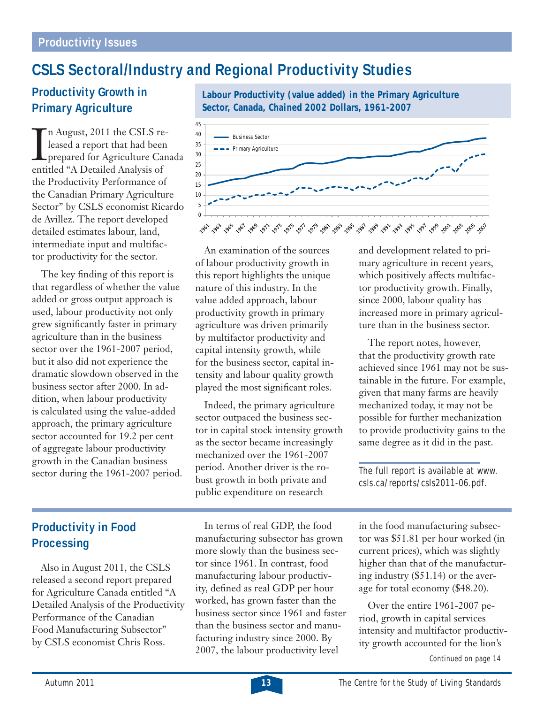# **CSLS Sectoral/Industry and Regional Productivity Studies**

## **Productivity Growth in Primary Agriculture**

In August, 2011 the CSLS re<br>leased a report that had beer<br>prepared for Agriculture Can<br>entitled "A Detailed Analysis of n August, 2011 the CSLS released a report that had been prepared for Agriculture Canada the Productivity Performance of the Canadian Primary Agriculture Sector" by CSLS economist Ricardo de Avillez. The report developed detailed estimates labour, land, intermediate input and multifactor productivity for the sector.

The key finding of this report is that regardless of whether the value added or gross output approach is used, labour productivity not only grew significantly faster in primary agriculture than in the business sector over the 1961-2007 period, but it also did not experience the dramatic slowdown observed in the business sector after 2000. In addition, when labour productivity is calculated using the value-added approach, the primary agriculture sector accounted for 19.2 per cent of aggregate labour productivity growth in the Canadian business sector during the 1961-2007 period.

**Sector, Canada, Chained 2002 Dollars, 1961-2007** 45 40 Business Sector 35 - Primary Agriculture 30 25 20 15 10 5 0 

**Labour Productivity (value added) in the Primary Agriculture** 

An examination of the sources of labour productivity growth in this report highlights the unique nature of this industry. In the value added approach, labour productivity growth in primary agriculture was driven primarily by multifactor productivity and capital intensity growth, while for the business sector, capital intensity and labour quality growth played the most significant roles.

Indeed, the primary agriculture sector outpaced the business sector in capital stock intensity growth as the sector became increasingly mechanized over the 1961-2007 period. Another driver is the robust growth in both private and public expenditure on research

In terms of real GDP, the food manufacturing subsector has grown more slowly than the business sector since 1961. In contrast, food manufacturing labour productivity, defined as real GDP per hour worked, has grown faster than the business sector since 1961 and faster than the business sector and manufacturing industry since 2000. By 2007, the labour productivity level

and development related to primary agriculture in recent years, which positively affects multifactor productivity growth. Finally, since 2000, labour quality has increased more in primary agriculture than in the business sector.

The report notes, however, that the productivity growth rate achieved since 1961 may not be sustainable in the future. For example, given that many farms are heavily mechanized today, it may not be possible for further mechanization to provide productivity gains to the same degree as it did in the past.

The full report is available at www. csls.ca/reports/csls2011-06.pdf.

in the food manufacturing subsector was \$51.81 per hour worked (in current prices), which was slightly higher than that of the manufacturing industry (\$51.14) or the average for total economy (\$48.20).

Continued on page 14 Over the entire 1961-2007 period, growth in capital services intensity and multifactor productivity growth accounted for the lion's

# **Productivity in Food Processing**

Also in August 2011, the CSLS released a second report prepared for Agriculture Canada entitled "A Detailed Analysis of the Productivity Performance of the Canadian Food Manufacturing Subsector" by CSLS economist Chris Ross.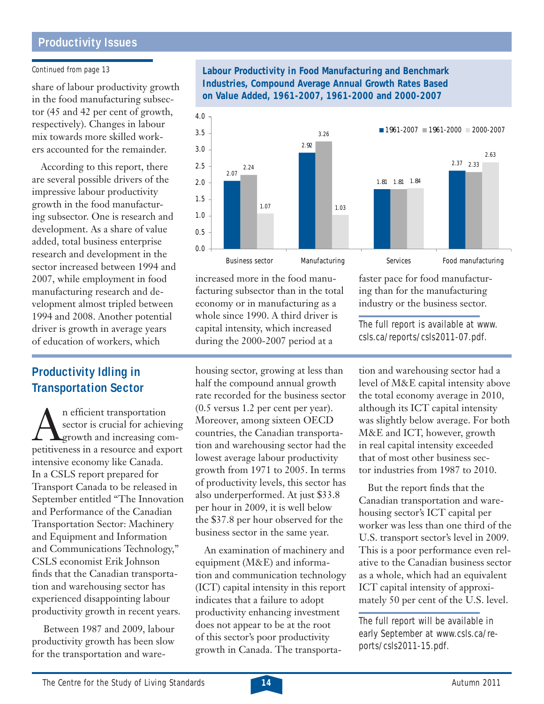#### **Productivity Issues**

#### Continued from page 13

share of labour productivity growth in the food manufacturing subsector (45 and 42 per cent of growth, respectively). Changes in labour mix towards more skilled workers accounted for the remainder.

According to this report, there are several possible drivers of the impressive labour productivity growth in the food manufacturing subsector. One is research and development. As a share of value added, total business enterprise research and development in the sector increased between 1994 and 2007, while employment in food manufacturing research and development almost tripled between 1994 and 2008. Another potential driver is growth in average years of education of workers, which

#### **Productivity Idling in Transportation Sector**

An efficient transportation<br>sector is crucial for achiev<br>growth and increasing connectiveness in a resource and exp sector is crucial for achieving growth and increasing competitiveness in a resource and export intensive economy like Canada. In a CSLS report prepared for Transport Canada to be released in September entitled "The Innovation and Performance of the Canadian Transportation Sector: Machinery and Equipment and Information and Communications Technology," CSLS economist Erik Johnson finds that the Canadian transportation and warehousing sector has experienced disappointing labour productivity growth in recent years.

 Between 1987 and 2009, labour productivity growth has been slow for the transportation and ware-

housing sector, growing at less than half the compound annual growth rate recorded for the business sector (0.5 versus 1.2 per cent per year). Moreover, among sixteen OECD countries, the Canadian transportation and warehousing sector had the lowest average labour productivity growth from 1971 to 2005. In terms of productivity levels, this sector has also underperformed. At just \$33.8 per hour in 2009, it is well below the \$37.8 per hour observed for the business sector in the same year.

An examination of machinery and equipment (M&E) and information and communication technology (ICT) capital intensity in this report indicates that a failure to adopt productivity enhancing investment does not appear to be at the root of this sector's poor productivity growth in Canada. The transportation and warehousing sector had a level of M&E capital intensity above csls.ca/reports/csls2011-07.pdf.

ing than for the manufacturing industry or the business sector.

The full report is available at www.

the total economy average in 2010, although its ICT capital intensity was slightly below average. For both M&E and ICT, however, growth in real capital intensity exceeded that of most other business sector industries from 1987 to 2010.

But the report finds that the Canadian transportation and warehousing sector's ICT capital per worker was less than one third of the U.S. transport sector's level in 2009. This is a poor performance even relative to the Canadian business sector as a whole, which had an equivalent ICT capital intensity of approximately 50 per cent of the U.S. level.

The full report will be available in early September at www.csls.ca/reports/csls2011-15.pdf.

**Labour Productivity in Food Manufacturing and Benchmark Industries, Compound Average Annual Growth Rates Based on Value Added, 1961-2007, 1961-2000 and 2000-2007**



increased more in the food manufacturing subsector than in the total economy or in manufacturing as a whole since 1990. A third driver is capital intensity, which increased during the 2000-2007 period at a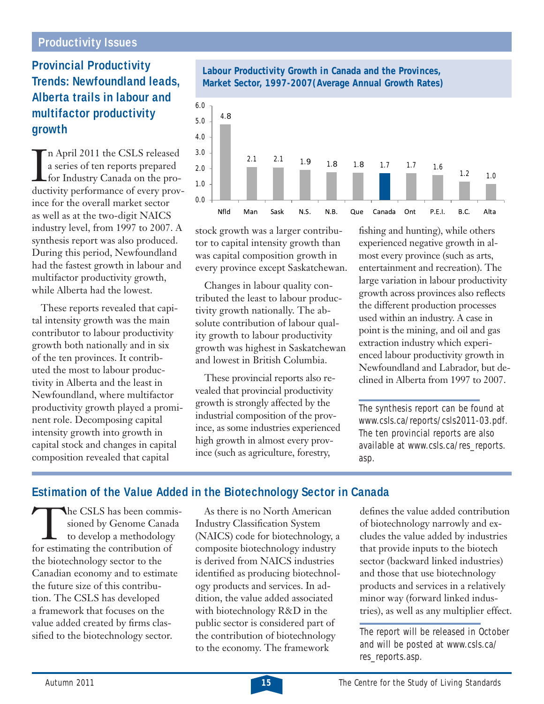#### **Productivity Issues**

# **Provincial Productivity Trends: Newfoundland leads, Alberta trails in labour and multifactor productivity growth**

 $\prod_{\text{disc}}$ n April 2011 the CSLS released a series of ten reports prepared for Industry Canada on the productivity performance of every province for the overall market sector as well as at the two-digit NAICS industry level, from 1997 to 2007. A synthesis report was also produced. During this period, Newfoundland had the fastest growth in labour and multifactor productivity growth, while Alberta had the lowest.

These reports revealed that capital intensity growth was the main contributor to labour productivity growth both nationally and in six of the ten provinces. It contributed the most to labour productivity in Alberta and the least in Newfoundland, where multifactor productivity growth played a prominent role. Decomposing capital intensity growth into growth in capital stock and changes in capital composition revealed that capital



stock growth was a larger contributor to capital intensity growth than was capital composition growth in every province except Saskatchewan.

Changes in labour quality contributed the least to labour productivity growth nationally. The absolute contribution of labour quality growth to labour productivity growth was highest in Saskatchewan and lowest in British Columbia.

These provincial reports also revealed that provincial productivity growth is strongly affected by the industrial composition of the province, as some industries experienced high growth in almost every province (such as agriculture, forestry,

fishing and hunting), while others experienced negative growth in almost every province (such as arts, entertainment and recreation). The large variation in labour productivity growth across provinces also reflects the different production processes used within an industry. A case in point is the mining, and oil and gas extraction industry which experienced labour productivity growth in Newfoundland and Labrador, but declined in Alberta from 1997 to 2007.

The synthesis report can be found at www.csls.ca/reports/csls2011-03.pdf. The ten provincial reports are also available at www.csls.ca/res\_reports. asp.

#### **Estimation of the Value Added in the Biotechnology Sector in Canada**

The CSLS has been commis-<br>sioned by Genome Canada<br>to develop a methodology<br>for estimating the contribution of sioned by Genome Canada to develop a methodology for estimating the contribution of the biotechnology sector to the Canadian economy and to estimate the future size of this contribution. The CSLS has developed a framework that focuses on the value added created by firms classified to the biotechnology sector.

As there is no North American **Industry Classification System** (NAICS) code for biotechnology, a composite biotechnology industry is derived from NAICS industries identified as producing biotechnology products and services. In addition, the value added associated with biotechnology R&D in the public sector is considered part of the contribution of biotechnology to the economy. The framework

defines the value added contribution of biotechnology narrowly and excludes the value added by industries that provide inputs to the biotech sector (backward linked industries) and those that use biotechnology products and services in a relatively minor way (forward linked industries), as well as any multiplier effect.

The report will be released in October and will be posted at www.csls.ca/ res\_reports.asp.

#### **Labour Productivity Growth in Canada and the Provinces, Market Sector, 1997-2007(Average Annual Growth Rates)**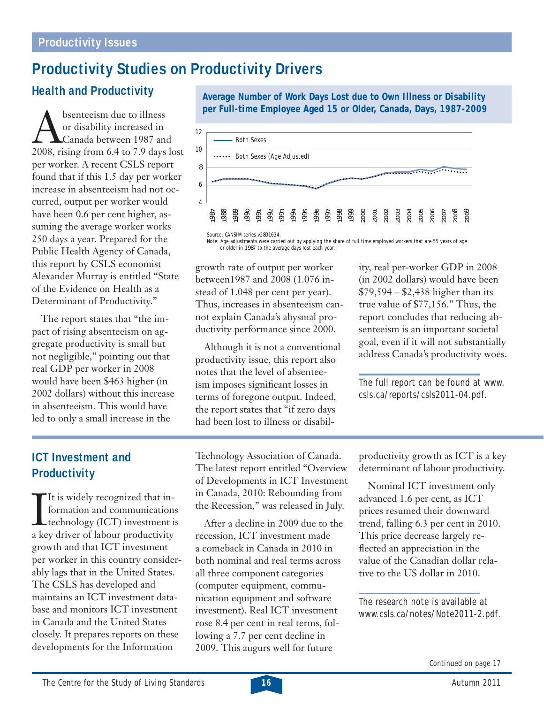# **Productivity Studies on Productivity Drivers**

# **Health and Productivity**

bsenteeism due to illness<br>or disability increased in<br>Canada between 1987 and<br>2008, rising from 6.4 to 7.9 days or disability increased in Canada between 1987 and 2008, rising from 6.4 to 7.9 days lost per worker. A recent CSLS report found that if this 1.5 day per worker increase in absenteeism had not occurred, output per worker would have been 0.6 per cent higher, assuming the average worker works 250 days a year. Prepared for the Public Health Agency of Canada, this report by CSLS economist Alexander Murray is entitled "State of the Evidence on Health as a Determinant of Productivity."

The report states that "the impact of rising absenteeism on aggregate productivity is small but not negligible," pointing out that real GDP per worker in 2008 would have been \$463 higher (in 2002 dollars) without this increase in absenteeism. This would have led to only a small increase in the

**Average Number of Work Days Lost due to Own Illness or Disability per Full-time Employee Aged 15 or Older, Canada, Days, 1987-2009**



Note: Age adjustments were carried out by applying the share of full time employed workers that are 55 years of age or older in 1987 to the average days lost each year.

growth rate of output per worker between1987 and 2008 (1.076 instead of 1.048 per cent per year). Thus, increases in absenteeism cannot explain Canada's abysmal productivity performance since 2000.

Although it is not a conventional productivity issue, this report also notes that the level of absenteeism imposes significant losses in terms of foregone output. Indeed, the report states that "if zero days had been lost to illness or disability, real per-worker GDP in 2008 (in 2002 dollars) would have been \$79,594 – \$2,438 higher than its true value of \$77,156." Thus, the report concludes that reducing absenteeism is an important societal goal, even if it will not substantially address Canada's productivity woes.

The full report can be found at www. csls.ca/reports/csls2011-04.pdf.

# **ICT Investment and Productivity**

 $\prod_{a \text{ } k \in \mathbb{N}}$ It is widely recognized that information and communications technology (ICT) investment is a key driver of labour productivity growth and that ICT investment per worker in this country considerably lags that in the United States. The CSLS has developed and maintains an ICT investment database and monitors ICT investment in Canada and the United States closely. It prepares reports on these developments for the Information

Technology Association of Canada. The latest report entitled "Overview of Developments in ICT Investment in Canada, 2010: Rebounding from the Recession," was released in July.

After a decline in 2009 due to the recession, ICT investment made a comeback in Canada in 2010 in both nominal and real terms across all three component categories (computer equipment, communication equipment and software investment). Real ICT investment rose 8.4 per cent in real terms, following a 7.7 per cent decline in 2009. This augurs well for future

productivity growth as ICT is a key determinant of labour productivity.

Nominal ICT investment only advanced 1.6 per cent, as ICT prices resumed their downward trend, falling 6.3 per cent in 2010. This price decrease largely reflected an appreciation in the value of the Canadian dollar relative to the US dollar in 2010.

The research note is available at www.csls.ca/notes/Note2011-2.pdf.

Continued on page 17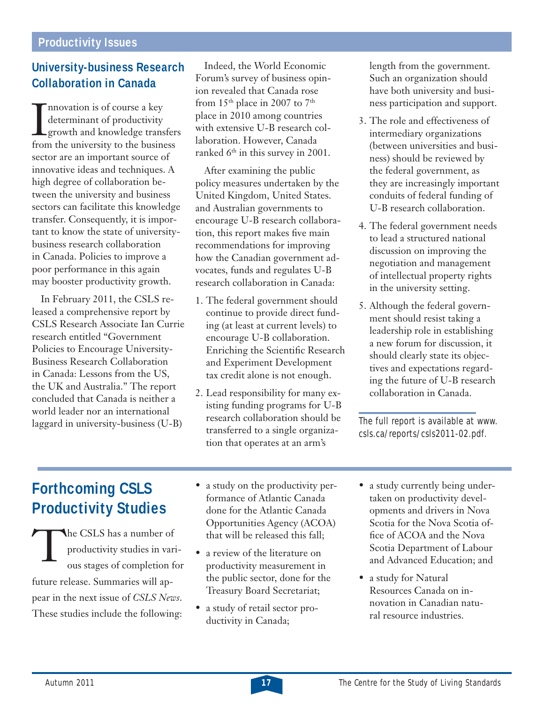# **University-business Research Collaboration in Canada**

I nnovation is of course a key<br>determinant of productivity<br>growth and knowledge transfer.<br>from the university to the business nnovation is of course a key determinant of productivity growth and knowledge transfers sector are an important source of innovative ideas and techniques. A high degree of collaboration between the university and business sectors can facilitate this knowledge transfer. Consequently, it is important to know the state of universitybusiness research collaboration in Canada. Policies to improve a poor performance in this again may booster productivity growth.

In February 2011, the CSLS released a comprehensive report by CSLS Research Associate Ian Currie research entitled "Government Policies to Encourage University-Business Research Collaboration in Canada: Lessons from the US, the UK and Australia." The report concluded that Canada is neither a world leader nor an international laggard in university-business (U-B)

Indeed, the World Economic Forum's survey of business opinion revealed that Canada rose from  $15<sup>th</sup>$  place in 2007 to  $7<sup>th</sup>$ place in 2010 among countries with extensive U-B research collaboration. However, Canada ranked 6<sup>th</sup> in this survey in 2001.

After examining the public policy measures undertaken by the United Kingdom, United States. and Australian governments to encourage U-B research collaboration, this report makes five main recommendations for improving how the Canadian government advocates, funds and regulates U-B research collaboration in Canada:

- 1. The federal government should continue to provide direct funding (at least at current levels) to encourage U-B collaboration. Enriching the Scientific Research and Experiment Development tax credit alone is not enough.
- 2. Lead responsibility for many existing funding programs for U-B research collaboration should be transferred to a single organization that operates at an arm's

length from the government. Such an organization should have both university and business participation and support.

- 3. The role and effectiveness of intermediary organizations (between universities and business) should be reviewed by the federal government, as they are increasingly important conduits of federal funding of U-B research collaboration.
- 4. The federal government needs to lead a structured national discussion on improving the negotiation and management of intellectual property rights in the university setting.
- 5. Although the federal government should resist taking a leadership role in establishing a new forum for discussion, it should clearly state its objectives and expectations regarding the future of U-B research collaboration in Canada.

The full report is available at www. csls.ca/reports/csls2011-02.pdf.

# **Forthcoming CSLS Productivity Studies**

The CSLS has a number of<br>productivity studies in vari<br>ous stages of completion for productivity studies in various stages of completion for future release. Summaries will appear in the next issue of *CSLS News*. These studies include the following:

- a study on the productivity performance of Atlantic Canada done for the Atlantic Canada Opportunities Agency (ACOA) that will be released this fall;
- a review of the literature on productivity measurement in the public sector, done for the Treasury Board Secretariat;
- a study of retail sector productivity in Canada;
- a study currently being undertaken on productivity developments and drivers in Nova Scotia for the Nova Scotia office of ACOA and the Nova Scotia Department of Labour and Advanced Education; and
- a study for Natural Resources Canada on innovation in Canadian natural resource industries.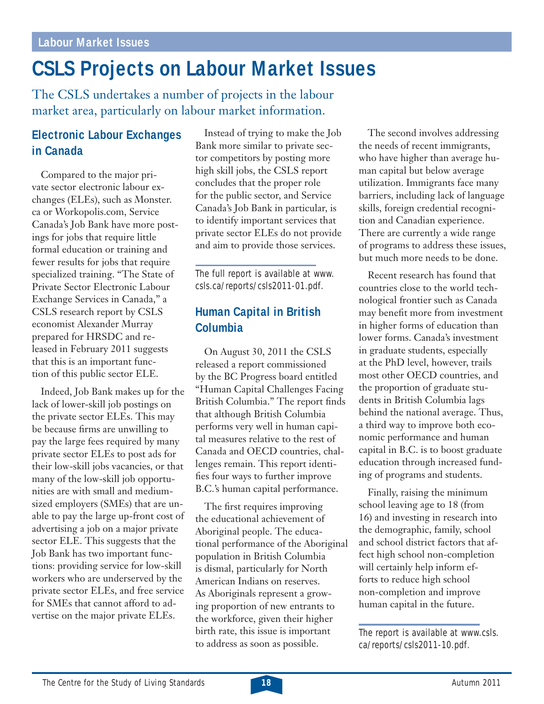#### **Labour Market Issues**

# **CSLS Projects on Labour Market Issues**

The CSLS undertakes a number of projects in the labour market area, particularly on labour market information.

# **Electronic Labour Exchanges in Canada**

Compared to the major private sector electronic labour exchanges (ELEs), such as Monster. ca or Workopolis.com, Service Canada's Job Bank have more postings for jobs that require little formal education or training and fewer results for jobs that require specialized training. "The State of Private Sector Electronic Labour Exchange Services in Canada," a CSLS research report by CSLS economist Alexander Murray prepared for HRSDC and released in February 2011 suggests that this is an important function of this public sector ELE.

Indeed, Job Bank makes up for the lack of lower-skill job postings on the private sector ELEs. This may be because firms are unwilling to pay the large fees required by many private sector ELEs to post ads for their low-skill jobs vacancies, or that many of the low-skill job opportunities are with small and mediumsized employers (SMEs) that are unable to pay the large up-front cost of advertising a job on a major private sector ELE. This suggests that the Job Bank has two important functions: providing service for low-skill workers who are underserved by the private sector ELEs, and free service for SMEs that cannot afford to advertise on the major private ELEs.

Instead of trying to make the Job Bank more similar to private sector competitors by posting more high skill jobs, the CSLS report concludes that the proper role for the public sector, and Service Canada's Job Bank in particular, is to identify important services that private sector ELEs do not provide and aim to provide those services.

The full report is available at www. csls.ca/reports/csls2011-01.pdf.

# **Human Capital in British Columbia**

On August 30, 2011 the CSLS released a report commissioned by the BC Progress board entitled "Human Capital Challenges Facing British Columbia." The report finds that although British Columbia performs very well in human capital measures relative to the rest of Canada and OECD countries, challenges remain. This report identifies four ways to further improve B.C.'s human capital performance.

The first requires improving the educational achievement of Aboriginal people. The educational performance of the Aboriginal population in British Columbia is dismal, particularly for North American Indians on reserves. As Aboriginals represent a growing proportion of new entrants to the workforce, given their higher birth rate, this issue is important to address as soon as possible.

The second involves addressing the needs of recent immigrants, who have higher than average human capital but below average utilization. Immigrants face many barriers, including lack of language skills, foreign credential recognition and Canadian experience. There are currently a wide range of programs to address these issues, but much more needs to be done.

Recent research has found that countries close to the world technological frontier such as Canada may benefit more from investment in higher forms of education than lower forms. Canada's investment in graduate students, especially at the PhD level, however, trails most other OECD countries, and the proportion of graduate students in British Columbia lags behind the national average. Thus, a third way to improve both economic performance and human capital in B.C. is to boost graduate education through increased funding of programs and students.

Finally, raising the minimum school leaving age to 18 (from 16) and investing in research into the demographic, family, school and school district factors that affect high school non-completion will certainly help inform efforts to reduce high school non-completion and improve human capital in the future.

The report is available at www.csls. ca/reports/csls2011-10.pdf.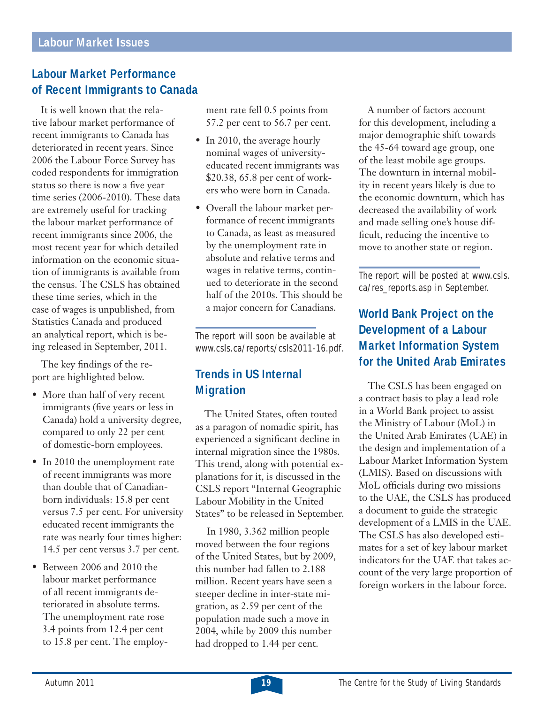## **Labour Market Performance of Recent Immigrants to Canada**

It is well known that the relative labour market performance of recent immigrants to Canada has deteriorated in recent years. Since 2006 the Labour Force Survey has coded respondents for immigration status so there is now a five year time series (2006-2010). These data are extremely useful for tracking the labour market performance of recent immigrants since 2006, the most recent year for which detailed information on the economic situation of immigrants is available from the census. The CSLS has obtained these time series, which in the case of wages is unpublished, from Statistics Canada and produced an analytical report, which is being released in September, 2011.

The key findings of the report are highlighted below.

- More than half of very recent immigrants (five years or less in Canada) hold a university degree, compared to only 22 per cent of domestic-born employees.
- In 2010 the unemployment rate of recent immigrants was more than double that of Canadianborn individuals: 15.8 per cent versus 7.5 per cent. For university educated recent immigrants the rate was nearly four times higher: 14.5 per cent versus 3.7 per cent.
- Between 2006 and 2010 the labour market performance of all recent immigrants deteriorated in absolute terms. The unemployment rate rose 3.4 points from 12.4 per cent to 15.8 per cent. The employ-

ment rate fell 0.5 points from 57.2 per cent to 56.7 per cent.

- In 2010, the average hourly nominal wages of universityeducated recent immigrants was \$20.38, 65.8 per cent of workers who were born in Canada.
- Overall the labour market performance of recent immigrants to Canada, as least as measured by the unemployment rate in absolute and relative terms and wages in relative terms, continued to deteriorate in the second half of the 2010s. This should be a major concern for Canadians.

The report will soon be available at www.csls.ca/reports/csls2011-16.pdf.

## **Trends in US Internal Migration**

The United States, often touted as a paragon of nomadic spirit, has experienced a significant decline in internal migration since the 1980s. This trend, along with potential explanations for it, is discussed in the CSLS report "Internal Geographic Labour Mobility in the United States" to be released in September.

 In 1980, 3.362 million people moved between the four regions of the United States, but by 2009, this number had fallen to 2.188 million. Recent years have seen a steeper decline in inter-state migration, as 2.59 per cent of the population made such a move in 2004, while by 2009 this number had dropped to 1.44 per cent.

A number of factors account for this development, including a major demographic shift towards the 45-64 toward age group, one of the least mobile age groups. The downturn in internal mobility in recent years likely is due to the economic downturn, which has decreased the availability of work and made selling one's house difficult, reducing the incentive to move to another state or region.

The report will be posted at www.csls. ca/res\_reports.asp in September.

# **World Bank Project on the Development of a Labour Market Information System for the United Arab Emirates**

The CSLS has been engaged on a contract basis to play a lead role in a World Bank project to assist the Ministry of Labour (MoL) in the United Arab Emirates (UAE) in the design and implementation of a Labour Market Information System (LMIS). Based on discussions with MoL officials during two missions to the UAE, the CSLS has produced a document to guide the strategic development of a LMIS in the UAE. The CSLS has also developed estimates for a set of key labour market indicators for the UAE that takes account of the very large proportion of foreign workers in the labour force.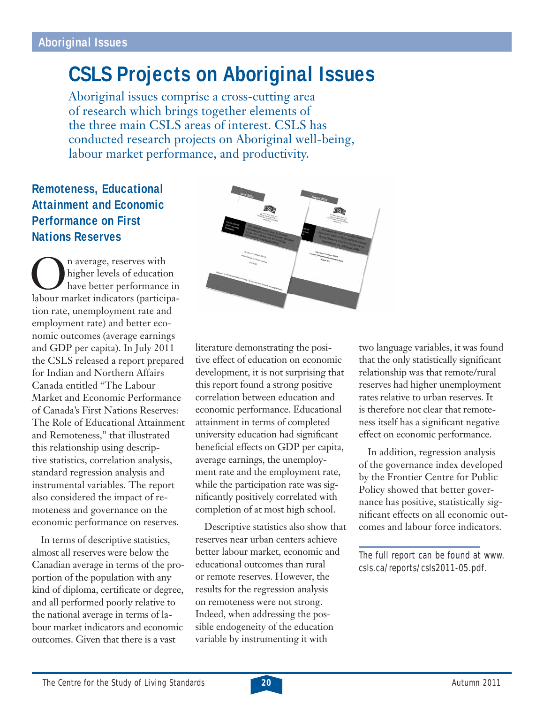# **CSLS Projects on Aboriginal Issues**

Aboriginal issues comprise a cross-cutting area of research which brings together elements of the three main CSLS areas of interest. CSLS has conducted research projects on Aboriginal well-being, labour market performance, and productivity.

# **Remoteness, Educational Attainment and Economic Performance on First Nations Reserves**

On average, reserves with<br>higher levels of education<br>labour market indicators (participahigher levels of education have better performance in tion rate, unemployment rate and employment rate) and better economic outcomes (average earnings and GDP per capita). In July 2011 the CSLS released a report prepared for Indian and Northern Affairs Canada entitled "The Labour Market and Economic Performance of Canada's First Nations Reserves: The Role of Educational Attainment and Remoteness," that illustrated this relationship using descriptive statistics, correlation analysis, standard regression analysis and instrumental variables. The report also considered the impact of remoteness and governance on the economic performance on reserves.

In terms of descriptive statistics, almost all reserves were below the Canadian average in terms of the proportion of the population with any kind of diploma, certificate or degree, and all performed poorly relative to the national average in terms of labour market indicators and economic outcomes. Given that there is a vast



literature demonstrating the positive effect of education on economic development, it is not surprising that this report found a strong positive correlation between education and economic performance. Educational attainment in terms of completed university education had significant beneficial effects on GDP per capita, average earnings, the unemployment rate and the employment rate, while the participation rate was significantly positively correlated with completion of at most high school.

Descriptive statistics also show that reserves near urban centers achieve better labour market, economic and educational outcomes than rural or remote reserves. However, the results for the regression analysis on remoteness were not strong. Indeed, when addressing the possible endogeneity of the education variable by instrumenting it with

two language variables, it was found that the only statistically significant relationship was that remote/rural reserves had higher unemployment rates relative to urban reserves. It is therefore not clear that remoteness itself has a significant negative effect on economic performance.

In addition, regression analysis of the governance index developed by the Frontier Centre for Public Policy showed that better governance has positive, statistically significant effects on all economic outcomes and labour force indicators.

The full report can be found at www. csls.ca/reports/csls2011-05.pdf.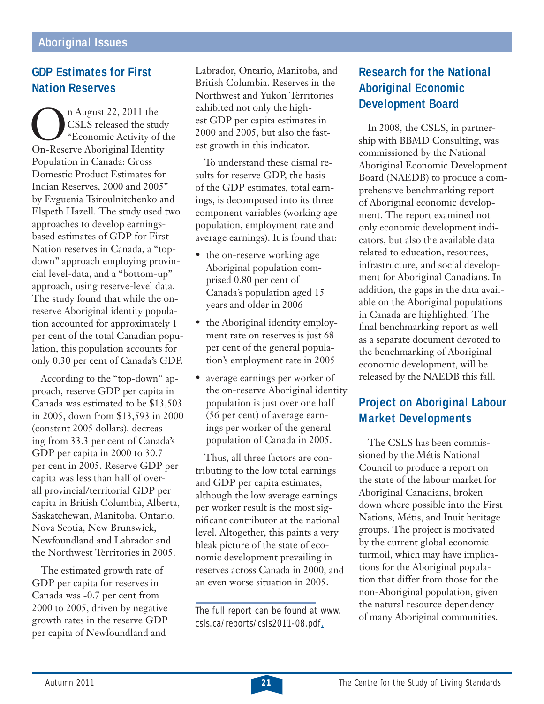## **GDP Estimates for First Nation Reserves**

n August 22, 2011 the<br>CSLS released the student<br>Con-Reserve Aboriginal Identity CSLS released the study "Economic Activity of the On-Reserve Aboriginal Identity Population in Canada: Gross Domestic Product Estimates for Indian Reserves, 2000 and 2005" by Evguenia Tsiroulnitchenko and Elspeth Hazell. The study used two approaches to develop earningsbased estimates of GDP for First Nation reserves in Canada, a "topdown" approach employing provincial level-data, and a "bottom-up" approach, using reserve-level data. The study found that while the onreserve Aboriginal identity population accounted for approximately 1 per cent of the total Canadian population, this population accounts for only 0.30 per cent of Canada's GDP.

According to the "top-down" approach, reserve GDP per capita in Canada was estimated to be \$13,503 in 2005, down from \$13,593 in 2000 (constant 2005 dollars), decreasing from 33.3 per cent of Canada's GDP per capita in 2000 to 30.7 per cent in 2005. Reserve GDP per capita was less than half of overall provincial/territorial GDP per capita in British Columbia, Alberta, Saskatchewan, Manitoba, Ontario, Nova Scotia, New Brunswick, Newfoundland and Labrador and the Northwest Territories in 2005.

The estimated growth rate of GDP per capita for reserves in Canada was -0.7 per cent from 2000 to 2005, driven by negative growth rates in the reserve GDP per capita of Newfoundland and

Labrador, Ontario, Manitoba, and British Columbia. Reserves in the Northwest and Yukon Territories exhibited not only the highest GDP per capita estimates in 2000 and 2005, but also the fastest growth in this indicator.

To understand these dismal results for reserve GDP, the basis of the GDP estimates, total earnings, is decomposed into its three component variables (working age population, employment rate and average earnings). It is found that:

- the on-reserve working age Aboriginal population comprised 0.80 per cent of Canada's population aged 15 years and older in 2006
- the Aboriginal identity employment rate on reserves is just 68 per cent of the general population's employment rate in 2005
- average earnings per worker of the on-reserve Aboriginal identity population is just over one half (56 per cent) of average earnings per worker of the general population of Canada in 2005.

Thus, all three factors are contributing to the low total earnings and GDP per capita estimates, although the low average earnings per worker result is the most significant contributor at the national level. Altogether, this paints a very bleak picture of the state of economic development prevailing in reserves across Canada in 2000, and an even worse situation in 2005.

The full report can be found at www. csls.ca/reports/csls2011-08.pdf.

# **Research for the National Aboriginal Economic Development Board**

In 2008, the CSLS, in partnership with BBMD Consulting, was commissioned by the National Aboriginal Economic Development Board (NAEDB) to produce a comprehensive benchmarking report of Aboriginal economic development. The report examined not only economic development indicators, but also the available data related to education, resources, infrastructure, and social development for Aboriginal Canadians. In addition, the gaps in the data available on the Aboriginal populations in Canada are highlighted. The final benchmarking report as well as a separate document devoted to the benchmarking of Aboriginal economic development, will be released by the NAEDB this fall.

# **Project on Aboriginal Labour Market Developments**

The CSLS has been commissioned by the Métis National Council to produce a report on the state of the labour market for Aboriginal Canadians, broken down where possible into the First Nations, Métis, and Inuit heritage groups. The project is motivated by the current global economic turmoil, which may have implications for the Aboriginal population that differ from those for the non-Aboriginal population, given the natural resource dependency of many Aboriginal communities.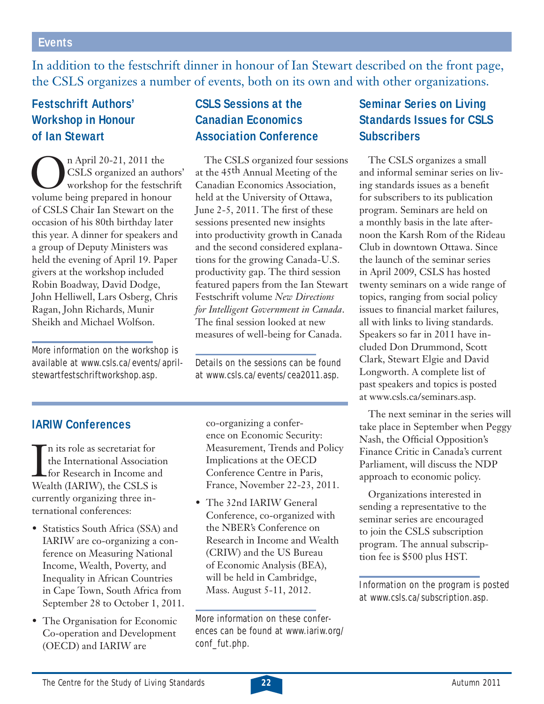#### **Events**

In addition to the festschrift dinner in honour of Ian Stewart described on the front page, the CSLS organizes a number of events, both on its own and with other organizations.

# **Festschrift Authors' Workshop in Honour of Ian Stewart**

On April 20-21, 2011 the<br>CSLS organized an autho<br>volume being prepared in honour CSLS organized an authors' workshop for the festschrift of CSLS Chair Ian Stewart on the occasion of his 80th birthday later this year. A dinner for speakers and a group of Deputy Ministers was held the evening of April 19. Paper givers at the workshop included Robin Boadway, David Dodge, John Helliwell, Lars Osberg, Chris Ragan, John Richards, Munir Sheikh and Michael Wolfson.

More information on the workshop is available at www.csls.ca/events/aprilstewartfestschriftworkshop.asp.

# **CSLS Sessions at the Canadian Economics Association Conference**

The CSLS organized four sessions at the 45<sup>th</sup> Annual Meeting of the Canadian Economics Association, held at the University of Ottawa, June  $2-5$ ,  $2011$ . The first of these sessions presented new insights into productivity growth in Canada and the second considered explanations for the growing Canada-U.S. productivity gap. The third session featured papers from the Ian Stewart Festschrift volume *New Directions for Intelligent Government in Canada*. The final session looked at new measures of well-being for Canada.

Details on the sessions can be found at www.csls.ca/events/cea2011.asp.

#### **IARIW Conferences**

In its role as secretariat for<br>the International Association<br>for Research in Income and<br>Wealth (IARIW), the CSLS is n its role as secretariat for the International Association for Research in Income and currently organizing three international conferences:

- Statistics South Africa (SSA) and IARIW are co-organizing a conference on Measuring National Income, Wealth, Poverty, and Inequality in African Countries in Cape Town, South Africa from September 28 to October 1, 2011.
- The Organisation for Economic Co-operation and Development (OECD) and IARIW are

co-organizing a conference on Economic Security: Measurement, Trends and Policy Implications at the OECD Conference Centre in Paris, France, November 22-23, 2011.

• The 32nd IARIW General Conference, co-organized with the NBER's Conference on Research in Income and Wealth (CRIW) and the US Bureau of Economic Analysis (BEA), will be held in Cambridge, Mass. August 5-11, 2012.

# **Seminar Series on Living Standards Issues for CSLS Subscribers**

The CSLS organizes a small and informal seminar series on living standards issues as a benefit for subscribers to its publication program. Seminars are held on a monthly basis in the late afternoon the Karsh Rom of the Rideau Club in downtown Ottawa. Since the launch of the seminar series in April 2009, CSLS has hosted twenty seminars on a wide range of topics, ranging from social policy issues to financial market failures, all with links to living standards. Speakers so far in 2011 have included Don Drummond, Scott Clark, Stewart Elgie and David Longworth. A complete list of past speakers and topics is posted at www.csls.ca/seminars.asp.

The next seminar in the series will take place in September when Peggy Nash, the Official Opposition's Finance Critic in Canada's current Parliament, will discuss the NDP approach to economic policy.

Organizations interested in sending a representative to the seminar series are encouraged to join the CSLS subscription program. The annual subscription fee is \$500 plus HST.

Information on the program is posted at www.csls.ca/subscription.asp.

More information on these conferences can be found at www.iariw.org/ conf\_fut.php.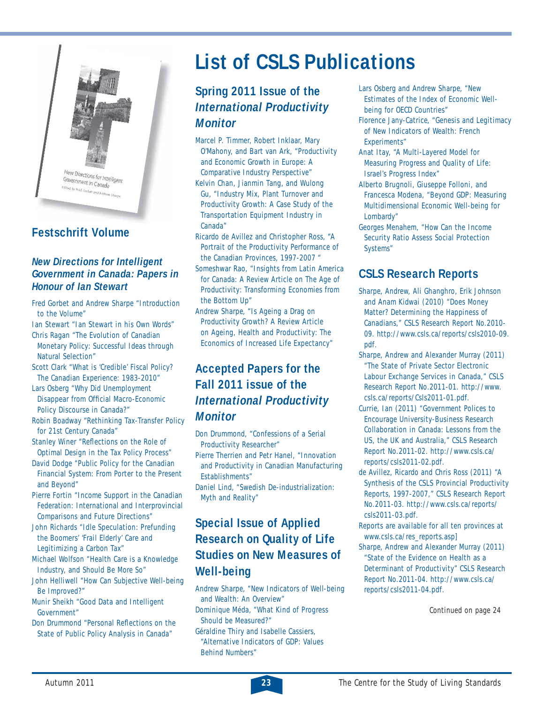

### **Festschrift Volume**

#### *New Directions for Intelligent Government in Canada: Papers in Honour of Ian Stewart*

- Fred Gorbet and Andrew Sharpe "Introduction to the Volume"
- Ian Stewart "Ian Stewart in his Own Words" Chris Ragan "The Evolution of Canadian
- Monetary Policy: Successful Ideas through Natural Selection"
- Scott Clark "What is 'Credible' Fiscal Policy? The Canadian Experience: 1983-2010"
- Lars Osberg "Why Did Unemployment Disappear from Official Macro-Economic Policy Discourse in Canada?"
- Robin Boadway "Rethinking Tax-Transfer Policy for 21st Century Canada"
- Stanley Winer "Reflections on the Role of Optimal Design in the Tax Policy Process"
- David Dodge "Public Policy for the Canadian Financial System: From Porter to the Present and Beyond"
- Pierre Fortin "Income Support in the Canadian Federation: International and Interprovincial Comparisons and Future Directions"
- John Richards "Idle Speculation: Prefunding the Boomers' 'Frail Elderly' Care and Legitimizing a Carbon Tax"
- Michael Wolfson "Health Care is a Knowledge Industry, and Should Be More So"
- John Helliwell "How Can Subjective Well-being Be Improved?"
- Munir Sheikh "Good Data and Intelligent Government"
- Don Drummond "Personal Reflections on the State of Public Policy Analysis in Canada"

# **List of CSLS Publications**

# **Spring 2011 Issue of the**  *International Productivity Monitor*

- Marcel P. Timmer, Robert Inklaar, Mary O'Mahony, and Bart van Ark, "Productivity and Economic Growth in Europe: A Comparative Industry Perspective" Kelvin Chan, Jianmin Tang, and Wulong Gu, "Industry Mix, Plant Turnover and Productivity Growth: A Case Study of the Transportation Equipment Industry in Canada"
- Ricardo de Avillez and Christopher Ross, "A Portrait of the Productivity Performance of the Canadian Provinces, 1997-2007 "
- Someshwar Rao, "Insights from Latin America for Canada: A Review Article on The Age of Productivity: Transforming Economies from the Bottom Up"
- Andrew Sharpe, "Is Ageing a Drag on Productivity Growth? A Review Article on Ageing, Health and Productivity: The Economics of Increased Life Expectancy"

# **Accepted Papers for the Fall 2011 issue of the**  *International Productivity Monitor*

Don Drummond, "Confessions of a Serial Productivity Researcher"

- Pierre Therrien and Petr Hanel, "Innovation and Productivity in Canadian Manufacturing Establishments"
- Daniel Lind, "Swedish De-industrialization: Myth and Reality"

# **Special Issue of Applied Research on Quality of Life Studies on New Measures of Well-being**

- Andrew Sharpe, "New Indicators of Well-being and Wealth: An Overview"
- Dominique Méda, "What Kind of Progress Should be Measured?"
- Géraldine Thiry and Isabelle Cassiers, "Alternative Indicators of GDP: Values Behind Numbers"
- Lars Osberg and Andrew Sharpe, "New Estimates of the Index of Economic Wellbeing for OECD Countries"
- Florence Jany-Catrice, "Genesis and Legitimacy of New Indicators of Wealth: French Experiments"
- Anat Itay, "A Multi-Layered Model for Measuring Progress and Quality of Life: Israel's Progress Index"
- Alberto Brugnoli, Giuseppe Folloni, and Francesca Modena, "Beyond GDP: Measuring Multidimensional Economic Well-being for Lombardy"
- Georges Menahem, "How Can the Income Security Ratio Assess Social Protection Systems"

### **CSLS Research Reports**

- Sharpe, Andrew, Ali Ghanghro, Erik Johnson and Anam Kidwai (2010) "Does Money Matter? Determining the Happiness of Canadians," CSLS Research Report No.2010- 09. http://www.csls.ca/reports/csls2010-09. pdf.
- Sharpe, Andrew and Alexander Murray (2011) "The State of Private Sector Electronic Labour Exchange Services in Canada," CSLS Research Report No.2011-01. http://www. csls.ca/reports/Csls2011-01.pdf.
- Currie, Ian (2011) "Government Polices to Encourage University-Business Research Collaboration in Canada: Lessons from the US, the UK and Australia," CSLS Research Report No.2011-02. http://www.csls.ca/ reports/csls2011-02.pdf.
- de Avillez, Ricardo and Chris Ross (2011) "A Synthesis of the CSLS Provincial Productivity Reports, 1997-2007," CSLS Research Report No.2011-03. http://www.csls.ca/reports/ csls2011-03.pdf.
- Reports are available for all ten provinces at www.csls.ca/res\_reports.asp]
- Sharpe, Andrew and Alexander Murray (2011) "State of the Evidence on Health as a Determinant of Productivity" CSLS Research Report No.2011-04. http://www.csls.ca/ reports/csls2011-04.pdf.

Continued on page 24